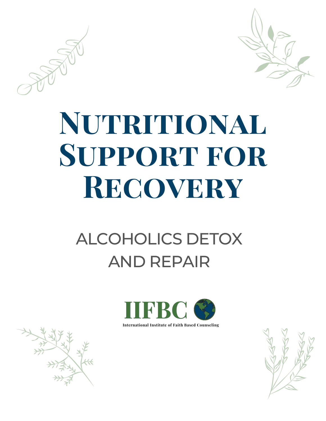

# NUTRITIONAL **SUPPORT FOR** RECOVERY

## **ALCOHOLICS DETOX AND REPAIR**



**International Institute of Faith Based Counseling** 

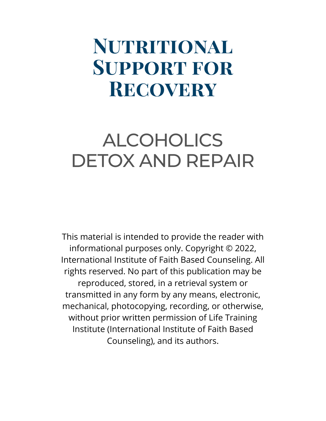### **Nutritional Support for Recovery**

#### ALCOHOLICS DETOX AND REPAIR

This material is intended to provide the reader with informational purposes only. Copyright © 2022, International Institute of Faith Based Counseling. All rights reserved. No part of this publication may be reproduced, stored, in a retrieval system or transmitted in any form by any means, electronic, mechanical, photocopying, recording, or otherwise, without prior written permission of Life Training Institute (International Institute of Faith Based Counseling), and its authors.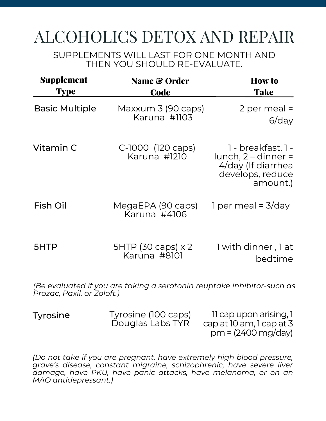#### ALCOHOLICS DETOX AND REPAIR

SUPPLEMENTS WILL LAST FOR ONE MONTH AND THEN YOU SHOULD RE-EVALUATE.

| <b>Supplement</b><br><b>Type</b> | <b>Name &amp; Order</b><br><b>Code</b>                                 | <b>How to</b><br><b>Take</b>                                                                    |
|----------------------------------|------------------------------------------------------------------------|-------------------------------------------------------------------------------------------------|
| <b>Basic Multiple</b>            | Maxxum 3 (90 caps)<br>Karuna #1103                                     | 2 per meal $=$<br>$6$ /day                                                                      |
| Vitamin C                        | C-1000 (120 caps)<br>Karuna #1210                                      | 1 - breakfast, 1 -<br>$lunch, 2-dinner =$<br>4/day (If diarrhea<br>develops, reduce<br>amount.) |
| <b>Fish Oil</b>                  | MegaEPA (90 caps)<br>Karuna #4106                                      | 1 per meal = $3$ /day                                                                           |
| 5HTP                             | $5HTP$ (30 caps) $\times 2$<br>Karuna #8101                            | 1 with dinner, 1 at<br>bedtime                                                                  |
| Prozac, Paxil, or Zoloft.)       | (Be evaluated if you are taking a serotonin reuptake inhibitor-such as |                                                                                                 |

Tyrosine Tyrosine (100 caps) Douglas Labs TYR

11 cap upon arising,1 cap at 10 am,1 cap at 3 pm= (2400mg/day)

*(Do not take if you are pregnant, have extremely high blood pressure, grave's disease, constant migraine, schizophrenic, have severe liver damage, have PKU, have panic attacks, have melanoma, or on an MAO antidepressant.)*